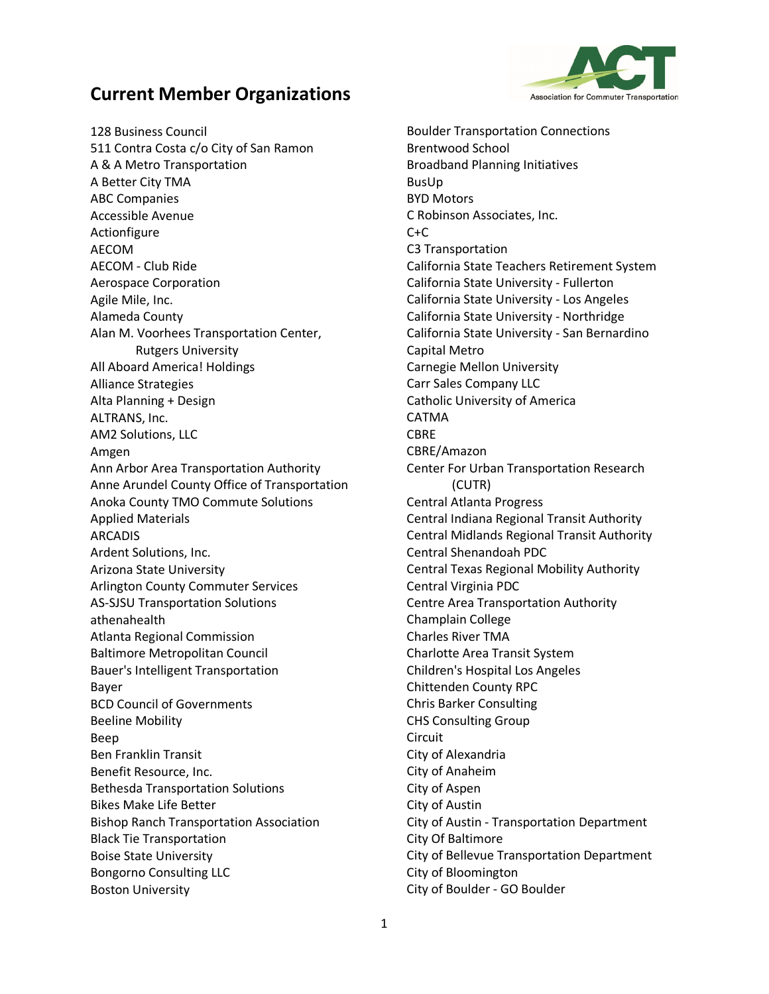

128 Business Council 511 Contra Costa c/o City of San Ramon A & A Metro Transportation A Better City TMA ABC Companies Accessible Avenue Actionfigure AECOM AECOM - Club Ride Aerospace Corporation Agile Mile, Inc. Alameda County Alan M. Voorhees Transportation Center, Rutgers University All Aboard America! Holdings Alliance Strategies Alta Planning + Design ALTRANS, Inc. AM2 Solutions, LLC Amgen Ann Arbor Area Transportation Authority Anne Arundel County Office of Transportation Anoka County TMO Commute Solutions Applied Materials ARCADIS Ardent Solutions, Inc. Arizona State University Arlington County Commuter Services AS-SJSU Transportation Solutions athenahealth Atlanta Regional Commission Baltimore Metropolitan Council Bauer's Intelligent Transportation Bayer BCD Council of Governments Beeline Mobility Beep Ben Franklin Transit Benefit Resource, Inc. Bethesda Transportation Solutions Bikes Make Life Better Bishop Ranch Transportation Association Black Tie Transportation Boise State University Bongorno Consulting LLC Boston University

Boulder Transportation Connections Brentwood School Broadband Planning Initiatives BusUp BYD Motors C Robinson Associates, Inc.  $C+C$ C3 Transportation California State Teachers Retirement System California State University - Fullerton California State University - Los Angeles California State University - Northridge California State University - San Bernardino Capital Metro Carnegie Mellon University Carr Sales Company LLC Catholic University of America CATMA CBRE CBRE/Amazon Center For Urban Transportation Research (CUTR) Central Atlanta Progress Central Indiana Regional Transit Authority Central Midlands Regional Transit Authority Central Shenandoah PDC Central Texas Regional Mobility Authority Central Virginia PDC Centre Area Transportation Authority Champlain College Charles River TMA Charlotte Area Transit System Children's Hospital Los Angeles Chittenden County RPC Chris Barker Consulting CHS Consulting Group Circuit City of Alexandria City of Anaheim City of Aspen City of Austin City of Austin - Transportation Department City Of Baltimore City of Bellevue Transportation Department City of Bloomington City of Boulder - GO Boulder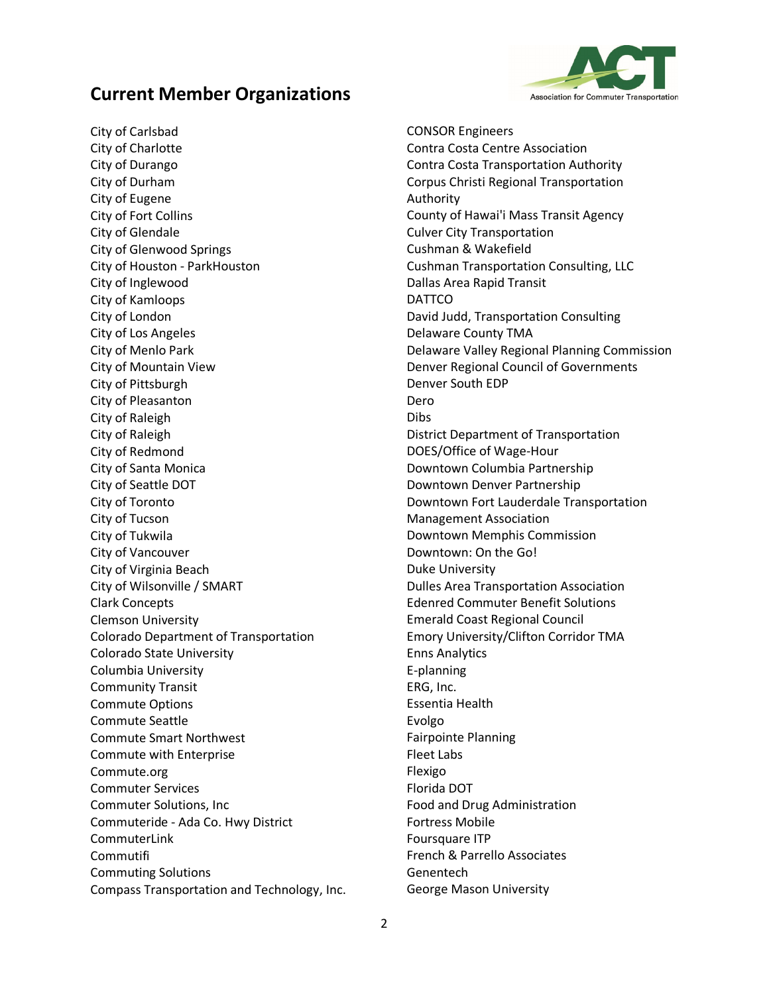

City of Carlsbad City of Charlotte City of Durango City of Durham City of Eugene City of Fort Collins City of Glendale City of Glenwood Springs City of Houston - ParkHouston City of Inglewood City of Kamloops City of London City of Los Angeles City of Menlo Park City of Mountain View City of Pittsburgh City of Pleasanton City of Raleigh City of Raleigh City of Redmond City of Santa Monica City of Seattle DOT City of Toronto City of Tucson City of Tukwila City of Vancouver City of Virginia Beach City of Wilsonville / SMART Clark Concepts Clemson University Colorado Department of Transportation Colorado State University Columbia University Community Transit Commute Options Commute Seattle Commute Smart Northwest Commute with Enterprise Commute.org Commuter Services Commuter Solutions, Inc Commuteride - Ada Co. Hwy District CommuterLink Commutifi Commuting Solutions Compass Transportation and Technology, Inc. CONSOR Engineers Contra Costa Centre Association Contra Costa Transportation Authority Corpus Christi Regional Transportation Authority County of Hawai'i Mass Transit Agency Culver City Transportation Cushman & Wakefield Cushman Transportation Consulting, LLC Dallas Area Rapid Transit DATTCO David Judd, Transportation Consulting Delaware County TMA Delaware Valley Regional Planning Commission Denver Regional Council of Governments Denver South EDP Dero Dibs District Department of Transportation DOES/Office of Wage-Hour Downtown Columbia Partnership Downtown Denver Partnership Downtown Fort Lauderdale Transportation Management Association Downtown Memphis Commission Downtown: On the Go! Duke University Dulles Area Transportation Association Edenred Commuter Benefit Solutions Emerald Coast Regional Council Emory University/Clifton Corridor TMA Enns Analytics E-planning ERG, Inc. Essentia Health Evolgo Fairpointe Planning Fleet Labs Flexigo Florida DOT Food and Drug Administration Fortress Mobile Foursquare ITP French & Parrello Associates Genentech George Mason University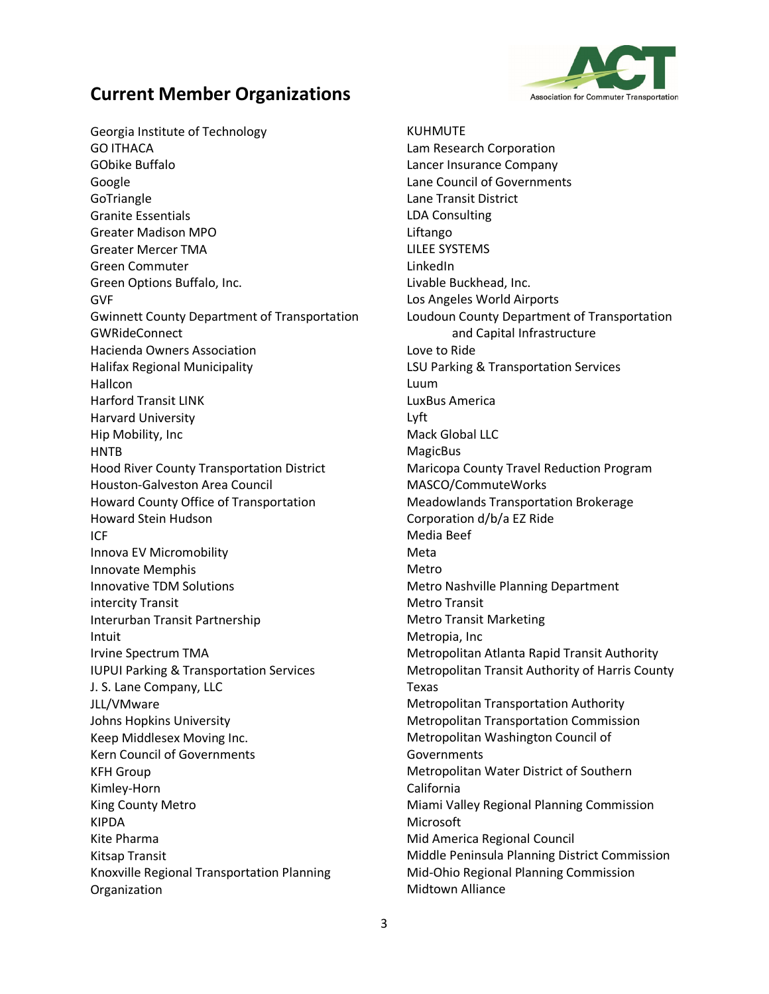

Georgia Institute of Technology GO ITHACA GObike Buffalo Google GoTriangle Granite Essentials Greater Madison MPO Greater Mercer TMA Green Commuter Green Options Buffalo, Inc. GVF Gwinnett County Department of Transportation GWRideConnect Hacienda Owners Association Halifax Regional Municipality Hallcon Harford Transit LINK Harvard University Hip Mobility, Inc **HNTB** Hood River County Transportation District Houston-Galveston Area Council Howard County Office of Transportation Howard Stein Hudson ICF Innova EV Micromobility Innovate Memphis Innovative TDM Solutions intercity Transit Interurban Transit Partnership Intuit Irvine Spectrum TMA IUPUI Parking & Transportation Services J. S. Lane Company, LLC JLL/VMware Johns Hopkins University Keep Middlesex Moving Inc. Kern Council of Governments KFH Group Kimley-Horn King County Metro KIPDA Kite Pharma Kitsap Transit Knoxville Regional Transportation Planning Organization

KUHMUTE Lam Research Corporation Lancer Insurance Company Lane Council of Governments Lane Transit District LDA Consulting Liftango LILEE SYSTEMS LinkedIn Livable Buckhead, Inc. Los Angeles World Airports Loudoun County Department of Transportation and Capital Infrastructure Love to Ride LSU Parking & Transportation Services Luum LuxBus America Lyft Mack Global LLC **MagicBus** Maricopa County Travel Reduction Program MASCO/CommuteWorks Meadowlands Transportation Brokerage Corporation d/b/a EZ Ride Media Beef Meta Metro Metro Nashville Planning Department Metro Transit Metro Transit Marketing Metropia, Inc Metropolitan Atlanta Rapid Transit Authority Metropolitan Transit Authority of Harris County Texas Metropolitan Transportation Authority Metropolitan Transportation Commission Metropolitan Washington Council of Governments Metropolitan Water District of Southern California Miami Valley Regional Planning Commission **Microsoft** Mid America Regional Council Middle Peninsula Planning District Commission Mid-Ohio Regional Planning Commission Midtown Alliance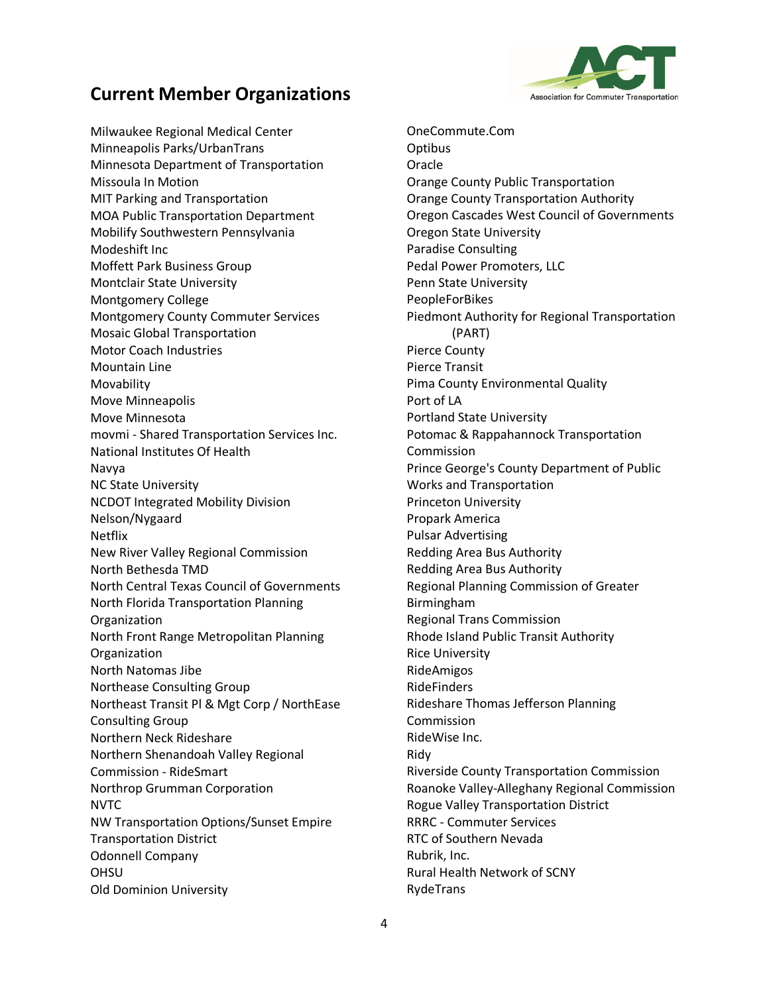

Milwaukee Regional Medical Center Minneapolis Parks/UrbanTrans Minnesota Department of Transportation Missoula In Motion MIT Parking and Transportation MOA Public Transportation Department Mobilify Southwestern Pennsylvania Modeshift Inc Moffett Park Business Group Montclair State University Montgomery College Montgomery County Commuter Services Mosaic Global Transportation Motor Coach Industries Mountain Line Movability Move Minneapolis Move Minnesota movmi - Shared Transportation Services Inc. National Institutes Of Health Navya NC State University NCDOT Integrated Mobility Division Nelson/Nygaard Netflix New River Valley Regional Commission North Bethesda TMD North Central Texas Council of Governments North Florida Transportation Planning Organization North Front Range Metropolitan Planning **Organization** North Natomas Jibe Northease Consulting Group Northeast Transit Pl & Mgt Corp / NorthEase Consulting Group Northern Neck Rideshare Northern Shenandoah Valley Regional Commission - RideSmart Northrop Grumman Corporation NVTC NW Transportation Options/Sunset Empire Transportation District Odonnell Company OHSU Old Dominion University

OneCommute.Com **Optibus Oracle** Orange County Public Transportation Orange County Transportation Authority Oregon Cascades West Council of Governments Oregon State University Paradise Consulting Pedal Power Promoters, LLC Penn State University PeopleForBikes Piedmont Authority for Regional Transportation (PART) Pierce County Pierce Transit Pima County Environmental Quality Port of LA Portland State University Potomac & Rappahannock Transportation Commission Prince George's County Department of Public Works and Transportation Princeton University Propark America Pulsar Advertising Redding Area Bus Authority Redding Area Bus Authority Regional Planning Commission of Greater Birmingham Regional Trans Commission Rhode Island Public Transit Authority Rice University RideAmigos RideFinders Rideshare Thomas Jefferson Planning **Commission** RideWise Inc. Ridy Riverside County Transportation Commission Roanoke Valley-Alleghany Regional Commission Rogue Valley Transportation District RRRC - Commuter Services RTC of Southern Nevada Rubrik, Inc. Rural Health Network of SCNY RydeTrans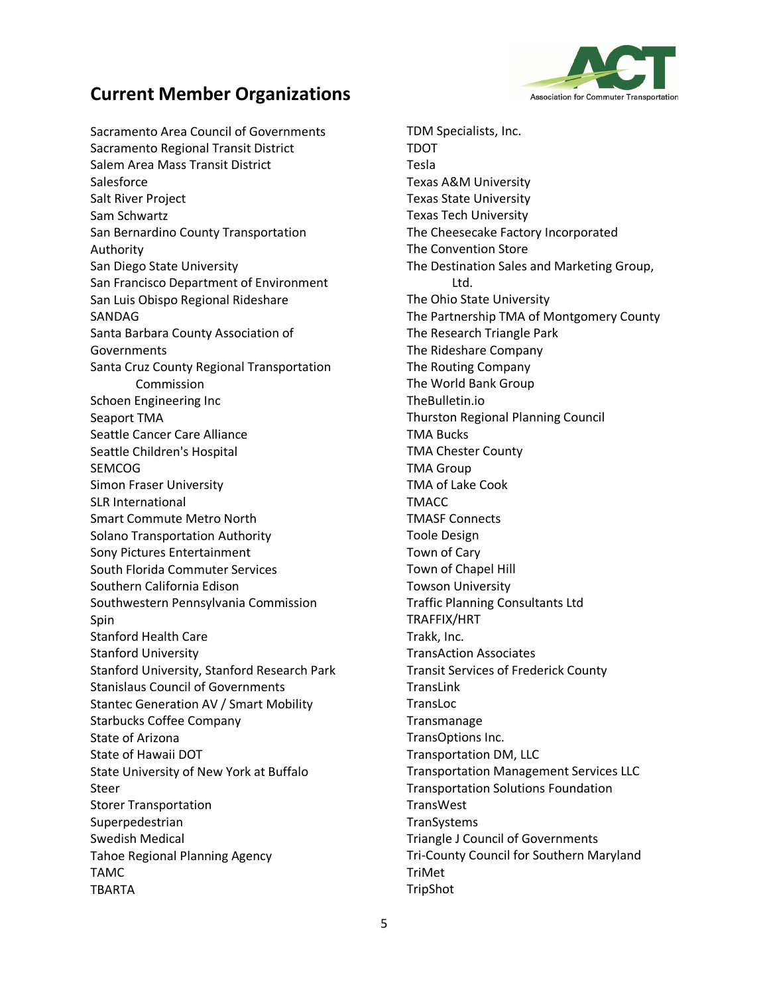

Sacramento Area Council of Governments Sacramento Regional Transit District Salem Area Mass Transit District **Salesforce** Salt River Project Sam Schwartz San Bernardino County Transportation Authority San Diego State University San Francisco Department of Environment San Luis Obispo Regional Rideshare SANDAG Santa Barbara County Association of Governments Santa Cruz County Regional Transportation Commission Schoen Engineering Inc Seaport TMA Seattle Cancer Care Alliance Seattle Children's Hospital SEMCOG Simon Fraser University SLR International Smart Commute Metro North Solano Transportation Authority Sony Pictures Entertainment South Florida Commuter Services Southern California Edison Southwestern Pennsylvania Commission Spin Stanford Health Care Stanford University Stanford University, Stanford Research Park Stanislaus Council of Governments Stantec Generation AV / Smart Mobility Starbucks Coffee Company State of Arizona State of Hawaii DOT State University of New York at Buffalo Steer Storer Transportation Superpedestrian Swedish Medical Tahoe Regional Planning Agency TAMC TBARTA

TDM Specialists, Inc. TDOT Tesla Texas A&M University Texas State University Texas Tech University The Cheesecake Factory Incorporated The Convention Store The Destination Sales and Marketing Group, Ltd. The Ohio State University The Partnership TMA of Montgomery County The Research Triangle Park The Rideshare Company The Routing Company The World Bank Group TheBulletin.io Thurston Regional Planning Council TMA Bucks TMA Chester County TMA Group TMA of Lake Cook TMACC TMASF Connects Toole Design Town of Cary Town of Chapel Hill Towson University Traffic Planning Consultants Ltd TRAFFIX/HRT Trakk, Inc. TransAction Associates Transit Services of Frederick County TransLink TransLoc Transmanage TransOptions Inc. Transportation DM, LLC Transportation Management Services LLC Transportation Solutions Foundation **TransWest TranSystems** Triangle J Council of Governments Tri-County Council for Southern Maryland TriMet TripShot